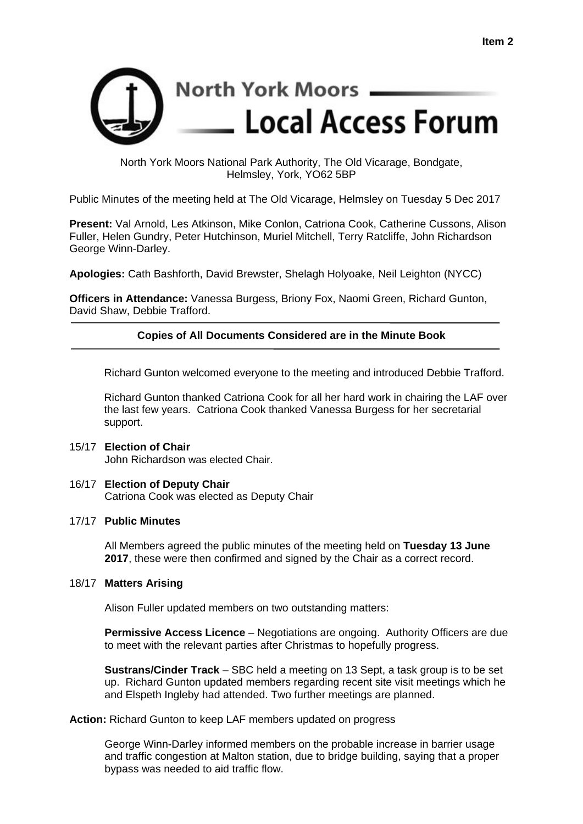

North York Moors National Park Authority, The Old Vicarage, Bondgate, Helmsley, York, YO62 5BP

Public Minutes of the meeting held at The Old Vicarage, Helmsley on Tuesday 5 Dec 2017

**Present:** Val Arnold, Les Atkinson, Mike Conlon, Catriona Cook, Catherine Cussons, Alison Fuller, Helen Gundry, Peter Hutchinson, Muriel Mitchell, Terry Ratcliffe, John Richardson George Winn-Darley.

**Apologies:** Cath Bashforth, David Brewster, Shelagh Holyoake, Neil Leighton (NYCC)

**Officers in Attendance:** Vanessa Burgess, Briony Fox, Naomi Green, Richard Gunton, David Shaw, Debbie Trafford.

# **Copies of All Documents Considered are in the Minute Book**

Richard Gunton welcomed everyone to the meeting and introduced Debbie Trafford.

Richard Gunton thanked Catriona Cook for all her hard work in chairing the LAF over the last few years. Catriona Cook thanked Vanessa Burgess for her secretarial support.

#### 15/17 **Election of Chair**  John Richardson was elected Chair.

16/17 **Election of Deputy Chair**  Catriona Cook was elected as Deputy Chair

## 17/17 **Public Minutes**

All Members agreed the public minutes of the meeting held on **Tuesday 13 June 2017**, these were then confirmed and signed by the Chair as a correct record.

## 18/17 **Matters Arising**

Alison Fuller updated members on two outstanding matters:

**Permissive Access Licence** – Negotiations are ongoing. Authority Officers are due to meet with the relevant parties after Christmas to hopefully progress.

 **Sustrans/Cinder Track** – SBC held a meeting on 13 Sept, a task group is to be set up. Richard Gunton updated members regarding recent site visit meetings which he and Elspeth Ingleby had attended. Two further meetings are planned.

**Action:** Richard Gunton to keep LAF members updated on progress

 George Winn-Darley informed members on the probable increase in barrier usage and traffic congestion at Malton station, due to bridge building, saying that a proper bypass was needed to aid traffic flow.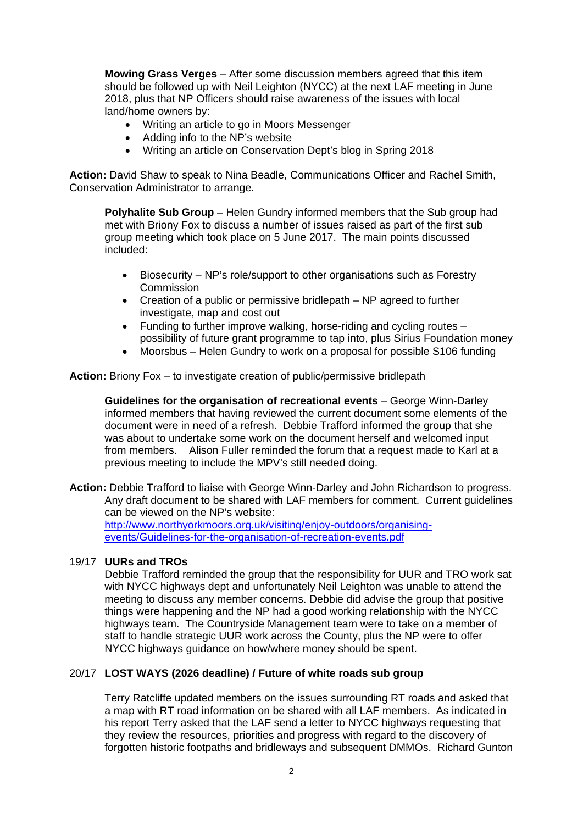**Mowing Grass Verges** – After some discussion members agreed that this item should be followed up with Neil Leighton (NYCC) at the next LAF meeting in June 2018, plus that NP Officers should raise awareness of the issues with local land/home owners by:

- Writing an article to go in Moors Messenger
- Adding info to the NP's website
- Writing an article on Conservation Dept's blog in Spring 2018

**Action:** David Shaw to speak to Nina Beadle, Communications Officer and Rachel Smith, Conservation Administrator to arrange.

**Polyhalite Sub Group** – Helen Gundry informed members that the Sub group had met with Briony Fox to discuss a number of issues raised as part of the first sub group meeting which took place on 5 June 2017. The main points discussed included:

- Biosecurity NP's role/support to other organisations such as Forestry **Commission**
- Creation of a public or permissive bridlepath NP agreed to further investigate, map and cost out
- Funding to further improve walking, horse-riding and cycling routes possibility of future grant programme to tap into, plus Sirius Foundation money
- Moorsbus Helen Gundry to work on a proposal for possible S106 funding

**Action:** Briony Fox – to investigate creation of public/permissive bridlepath

**Guidelines for the organisation of recreational events** – George Winn-Darley informed members that having reviewed the current document some elements of the document were in need of a refresh. Debbie Trafford informed the group that she was about to undertake some work on the document herself and welcomed input from members. Alison Fuller reminded the forum that a request made to Karl at a previous meeting to include the MPV's still needed doing.

**Action:** Debbie Trafford to liaise with George Winn-Darley and John Richardson to progress. Any draft document to be shared with LAF members for comment. Current guidelines can be viewed on the NP's website: http://www.northyorkmoors.org.uk/visiting/enjoy-outdoors/organising-

events/Guidelines-for-the-organisation-of-recreation-events.pdf

## 19/17 **UURs and TROs**

Debbie Trafford reminded the group that the responsibility for UUR and TRO work sat with NYCC highways dept and unfortunately Neil Leighton was unable to attend the meeting to discuss any member concerns. Debbie did advise the group that positive things were happening and the NP had a good working relationship with the NYCC highways team. The Countryside Management team were to take on a member of staff to handle strategic UUR work across the County, plus the NP were to offer NYCC highways guidance on how/where money should be spent.

## 20/17 **LOST WAYS (2026 deadline) / Future of white roads sub group**

Terry Ratcliffe updated members on the issues surrounding RT roads and asked that a map with RT road information on be shared with all LAF members. As indicated in his report Terry asked that the LAF send a letter to NYCC highways requesting that they review the resources, priorities and progress with regard to the discovery of forgotten historic footpaths and bridleways and subsequent DMMOs. Richard Gunton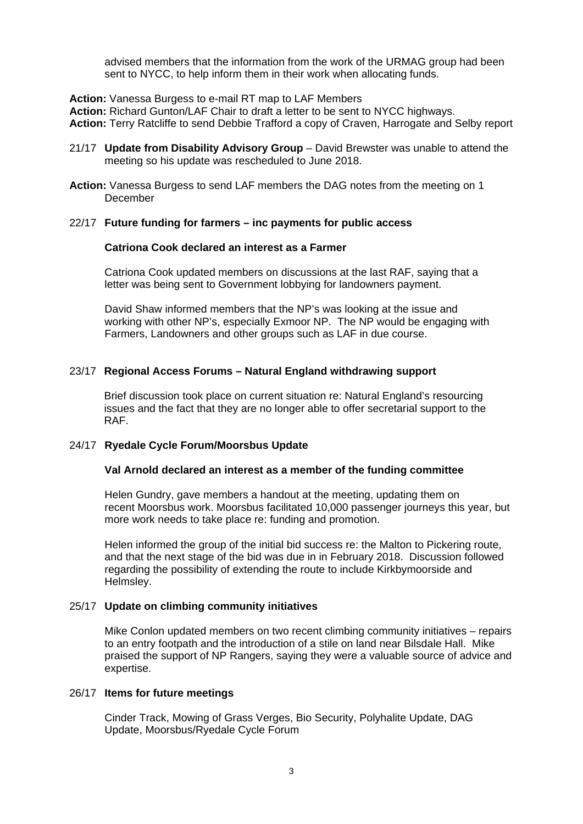advised members that the information from the work of the URMAG group had been sent to NYCC, to help inform them in their work when allocating funds.

**Action:** Vanessa Burgess to e-mail RT map to LAF Members

**Action:** Richard Gunton/LAF Chair to draft a letter to be sent to NYCC highways. **Action:** Terry Ratcliffe to send Debbie Trafford a copy of Craven, Harrogate and Selby report

- 21/17 **Update from Disability Advisory Group**  David Brewster was unable to attend the meeting so his update was rescheduled to June 2018.
- **Action:** Vanessa Burgess to send LAF members the DAG notes from the meeting on 1 December

### 22/17 **Future funding for farmers – inc payments for public access**

### **Catriona Cook declared an interest as a Farmer**

Catriona Cook updated members on discussions at the last RAF, saying that a letter was being sent to Government lobbying for landowners payment.

David Shaw informed members that the NP's was looking at the issue and working with other NP's, especially Exmoor NP. The NP would be engaging with Farmers, Landowners and other groups such as LAF in due course.

## 23/17 **Regional Access Forums – Natural England withdrawing support**

Brief discussion took place on current situation re: Natural England's resourcing issues and the fact that they are no longer able to offer secretarial support to the RAF.

## 24/17 **Ryedale Cycle Forum/Moorsbus Update**

## **Val Arnold declared an interest as a member of the funding committee**

Helen Gundry, gave members a handout at the meeting, updating them on recent Moorsbus work. Moorsbus facilitated 10,000 passenger journeys this year, but more work needs to take place re: funding and promotion.

 Helen informed the group of the initial bid success re: the Malton to Pickering route, and that the next stage of the bid was due in in February 2018. Discussion followed regarding the possibility of extending the route to include Kirkbymoorside and Helmsley.

## 25/17 **Update on climbing community initiatives**

Mike Conlon updated members on two recent climbing community initiatives – repairs to an entry footpath and the introduction of a stile on land near Bilsdale Hall. Mike praised the support of NP Rangers, saying they were a valuable source of advice and expertise.

## 26/17 **Items for future meetings**

 Cinder Track, Mowing of Grass Verges, Bio Security, Polyhalite Update, DAG Update, Moorsbus/Ryedale Cycle Forum